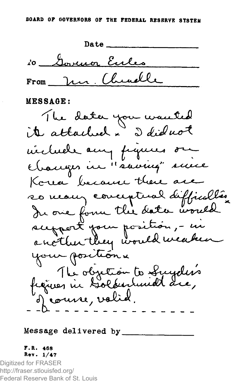

## MESSAGE:



Message delivered by.

## F.R . 468 Rev. 1/47

Digitized for FRASER http://fraser.stlouisfed.org/ Federal Reserve Bank of St. Louis